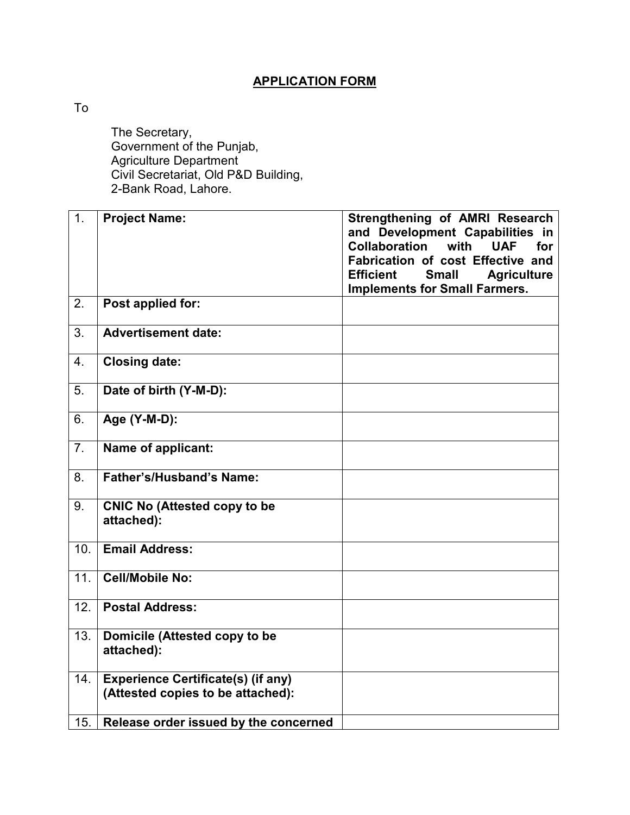## **APPLICATION FORM**

To

 The Secretary, Government of the Punjab, Agriculture Department Civil Secretariat, Old P&D Building, 2-Bank Road, Lahore.

| $\overline{1}$ . | <b>Project Name:</b>                                                           | <b>Strengthening of AMRI Research</b><br>and Development Capabilities in<br><b>Collaboration</b><br>with<br><b>UAF</b><br>for<br>Fabrication of cost Effective and<br><b>Small</b><br><b>Efficient</b><br><b>Agriculture</b><br><b>Implements for Small Farmers.</b> |
|------------------|--------------------------------------------------------------------------------|----------------------------------------------------------------------------------------------------------------------------------------------------------------------------------------------------------------------------------------------------------------------|
| 2.               | Post applied for:                                                              |                                                                                                                                                                                                                                                                      |
| $\overline{3}$ . | <b>Advertisement date:</b>                                                     |                                                                                                                                                                                                                                                                      |
| 4.               | <b>Closing date:</b>                                                           |                                                                                                                                                                                                                                                                      |
| 5.               | Date of birth (Y-M-D):                                                         |                                                                                                                                                                                                                                                                      |
| 6.               | Age (Y-M-D):                                                                   |                                                                                                                                                                                                                                                                      |
| 7 <sub>1</sub>   | Name of applicant:                                                             |                                                                                                                                                                                                                                                                      |
| 8.               | Father's/Husband's Name:                                                       |                                                                                                                                                                                                                                                                      |
| 9.               | <b>CNIC No (Attested copy to be</b><br>attached):                              |                                                                                                                                                                                                                                                                      |
| 10.              | <b>Email Address:</b>                                                          |                                                                                                                                                                                                                                                                      |
| 11.              | <b>Cell/Mobile No:</b>                                                         |                                                                                                                                                                                                                                                                      |
| 12.              | <b>Postal Address:</b>                                                         |                                                                                                                                                                                                                                                                      |
| 13.              | Domicile (Attested copy to be<br>attached):                                    |                                                                                                                                                                                                                                                                      |
| 14.              | <b>Experience Certificate(s) (if any)</b><br>(Attested copies to be attached): |                                                                                                                                                                                                                                                                      |
| 15.              | Release order issued by the concerned                                          |                                                                                                                                                                                                                                                                      |